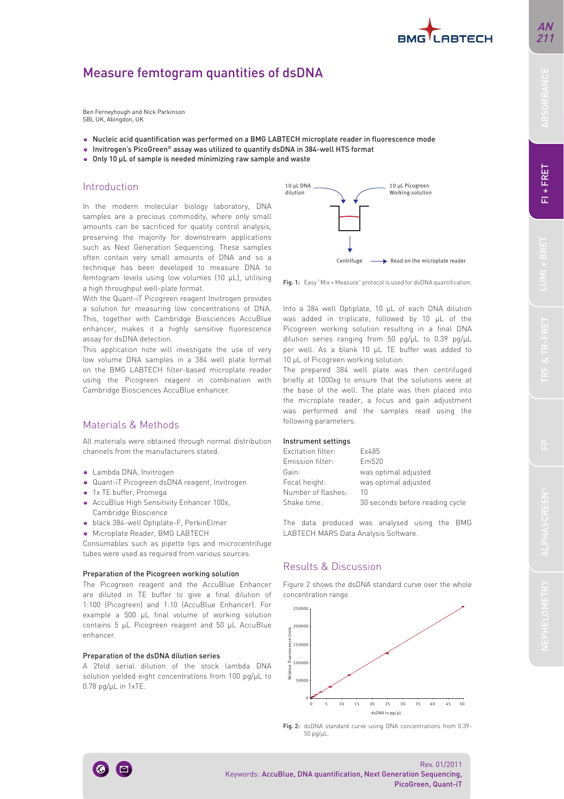# Measure femtogram quantities of dsDNA

Ben Ferneyhough and Nick Parkinson SBL UK, Abingdon, UK

- Nucleic acid quantification was performed on a BMG LABTECH microplate reader in fluorescence mode
- Invitrogen's PicoGreen® assay was utilized to quantify dsDNA in 384-well HTS format
- Only 10 μL of sample is needed minimizing raw sample and waste

## Introduction

In the modern molecular biology laboratory, DNA samples are a precious commodity, where only small amounts can be sacrificed for quality control analysis, preserving the majority for downstream applications such as Next Generation Sequencing. These samples often contain very small amounts of DNA and so a technique has been developed to measure DNA to femtogram levels using low volumes (10 μL), utilising a high throughput well-plate format.

With the Quant-iT Picogreen reagent Invitrogen provides a solution for measuring low concentrations of DNA. This, together with Cambridge Biosciences AccuBlue enhancer, makes it a highly sensitive fluorescence assay for dsDNA detection.

This application note will investigate the use of very low volume DNA samples in a 384 well plate format on the BMG LABTECH filter-based microplate reader using the Picogreen reagent in combination with Cambridge Biosciences AccuBlue enhancer.

# Materials & Methods

All materials were obtained through normal distribution channels from the manufacturers stated.

- Lambda DNA, Invitrogen
- Quant-iT Picogreen dsDNA reagent, Invitrogen
- 1x TE buffer, Promega
- AccuBlue High Sensitivity Enhancer 100x, Cambridge Bioscience
- black 384-well Optiplate-F, PerkinElmer
- Microplate Reader, BMG LABTECH

Consumables such as pipette tips and microcentrifuge tubes were used as required from various sources.

#### Preparation of the Picogreen working solution

The Picogreen reagent and the AccuBlue Enhancer are diluted in TE buffer to give a final dilution of 1:100 (Picogreen) and 1:10 (AccuBlue Enhancer). For example a 500 μL final volume of working solution contains 5 μL Picogreen reagent and 50 μL AccuBlue enhancer.

### Preparation of the dsDNA dilution series

A 2fold serial dilution of the stock lambda DNA solution yielded eight concentrations from 100 pg/μL to 0.78 pg/μL in 1xTE.



Fig. 1: Easy "Mix + Measure" protocol is used for dsDNA quantification.

Into a 384 well Optiplate, 10 μL of each DNA dilution was added in triplicate, followed by 10 μL of the Picogreen working solution resulting in a final DNA dilution series ranging from 50 pg/μL to 0.39 pg/μL per well. As a blank 10 μL TE buffer was added to 10 μL of Picogreen working solution.

The prepared 384 well plate was then centrifuged briefly at 1000xg to ensure that the solutions were at the base of the well. The plate was then placed into the microplate reader, a focus and gain adjustment was performed and the samples read using the following parameters.

#### Instrument settings

| Fx485                           |
|---------------------------------|
| Fm520                           |
| was optimal adjusted            |
| was optimal adjusted            |
| 10                              |
| 30 seconds before reading cycle |
|                                 |

The data produced was analysed using the BMG LABTECH MARS Data Analysis Software.

## Results & Discussion

Figure 2 shows the dsDNA standard curve over the whole concentration range.







 $-1 + FRET$